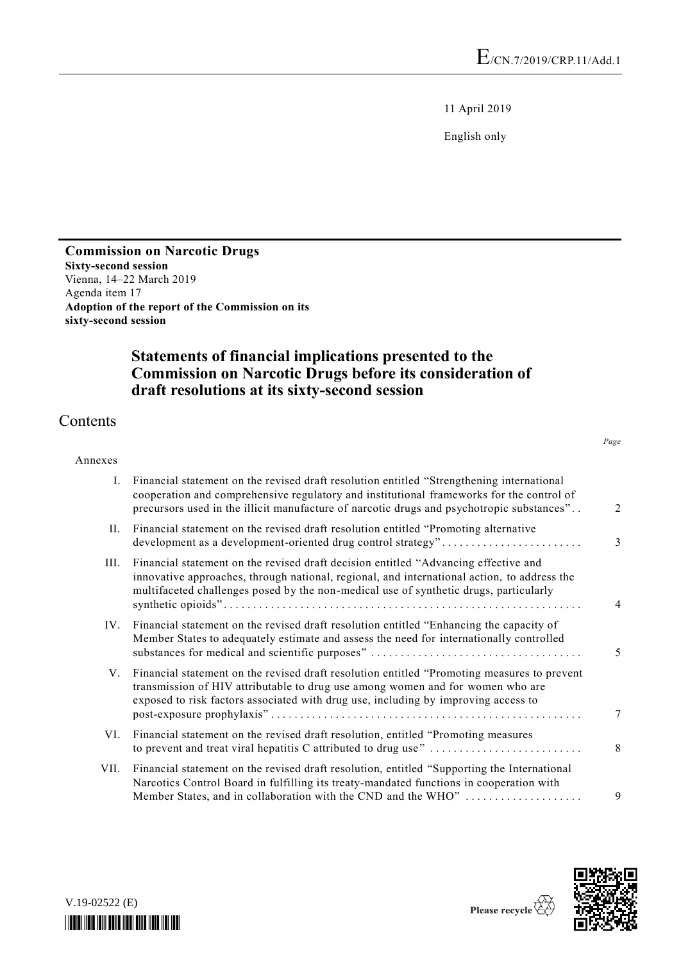11 April 2019

English only

#### **Commission on Narcotic Drugs Sixty-second session** Vienna, 14–22 March 2019 Agenda item 17 **Adoption of the report of the Commission on its sixty-second session**

# **Statements of financial implications presented to the Commission on Narcotic Drugs before its consideration of draft resolutions at its sixty-second session**

# Contents

#### Annexes

| Ι.   | Financial statement on the revised draft resolution entitled "Strengthening international<br>cooperation and comprehensive regulatory and institutional frameworks for the control of<br>precursors used in the illicit manufacture of narcotic drugs and psychotropic substances" |   |
|------|------------------------------------------------------------------------------------------------------------------------------------------------------------------------------------------------------------------------------------------------------------------------------------|---|
| II.  | Financial statement on the revised draft resolution entitled "Promoting alternative<br>development as a development-oriented drug control strategy"                                                                                                                                | 3 |
| III. | Financial statement on the revised draft decision entitled "Advancing effective and<br>innovative approaches, through national, regional, and international action, to address the<br>multifaceted challenges posed by the non-medical use of synthetic drugs, particularly        |   |
| IV.  | Financial statement on the revised draft resolution entitled "Enhancing the capacity of<br>Member States to adequately estimate and assess the need for internationally controlled                                                                                                 |   |
| V.   | Financial statement on the revised draft resolution entitled "Promoting measures to prevent<br>transmission of HIV attributable to drug use among women and for women who are<br>exposed to risk factors associated with drug use, including by improving access to                |   |
| VI.  | Financial statement on the revised draft resolution, entitled "Promoting measures"<br>to prevent and treat viral hepatitis C attributed to drug use"                                                                                                                               | 8 |
| VII. | Financial statement on the revised draft resolution, entitled "Supporting the International<br>Narcotics Control Board in fulfilling its treaty-mandated functions in cooperation with<br>Member States, and in collaboration with the CND and the WHO"                            |   |



| $V.19-02522$ (E) |  |  |  |
|------------------|--|--|--|
|                  |  |  |  |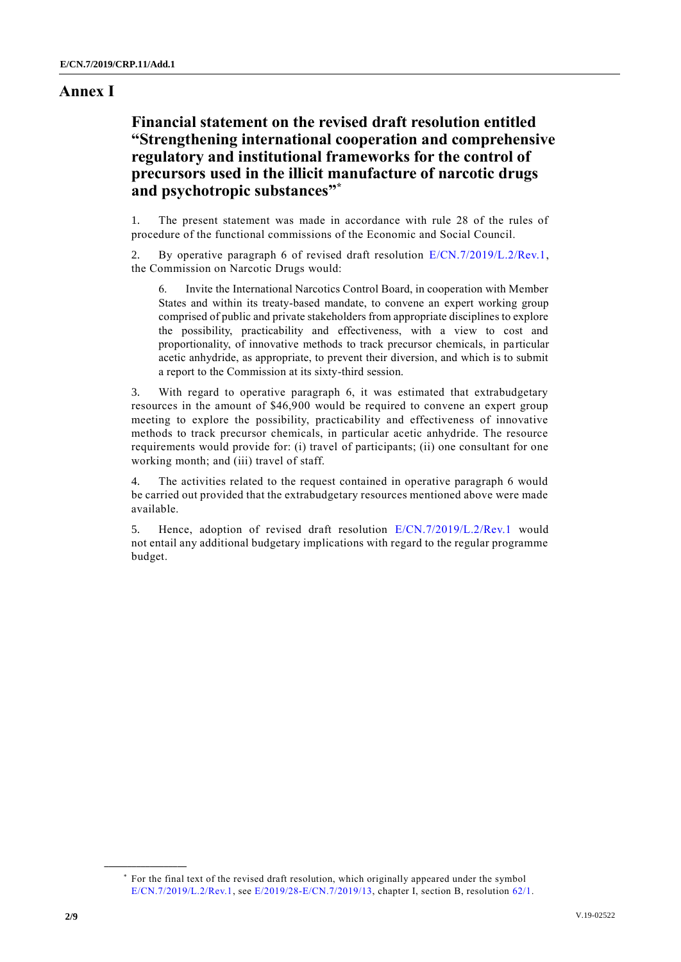### **Annex I**

## **Financial statement on the revised draft resolution entitled "Strengthening international cooperation and comprehensive regulatory and institutional frameworks for the control of precursors used in the illicit manufacture of narcotic drugs and psychotropic substances" \***

1. The present statement was made in accordance with rule 28 of the rules of procedure of the functional commissions of the Economic and Social Council.

2. By operative paragraph 6 of revised draft resolution [E/CN.7/2019/L.2/Rev.1,](http://undocs.org/E/CN.7/2019/L.2/Rev.1) the Commission on Narcotic Drugs would:

6. Invite the International Narcotics Control Board, in cooperation with Member States and within its treaty-based mandate, to convene an expert working group comprised of public and private stakeholders from appropriate disciplines to explore the possibility, practicability and effectiveness, with a view to cost and proportionality, of innovative methods to track precursor chemicals, in particular acetic anhydride, as appropriate, to prevent their diversion, and which is to submit a report to the Commission at its sixty-third session.

3. With regard to operative paragraph 6, it was estimated that extrabudgetary resources in the amount of \$46,900 would be required to convene an expert group meeting to explore the possibility, practicability and effectiveness of innovative methods to track precursor chemicals, in particular acetic anhydride. The resource requirements would provide for: (i) travel of participants; (ii) one consultant for one working month; and (iii) travel of staff.

4. The activities related to the request contained in operative paragraph 6 would be carried out provided that the extrabudgetary resources mentioned above were made available.

5. Hence, adoption of revised draft resolution [E/CN.7/2019/L.2/Rev.1](http://undocs.org/E/CN.7/2019/L.2/Rev.1) would not entail any additional budgetary implications with regard to the regular programme budget.

<sup>\*</sup> For the final text of the revised draft resolution, which originally appeared under the symbol [E/CN.7/2019/L.2/Rev.1,](http://undocs.org/E/CN.7/2019/L.2/Rev.1) see E/2019/28-E/CN.7/2019/13, chapter I, section B, resolution [62/1.](http://undocs.org/A/RES/62/1)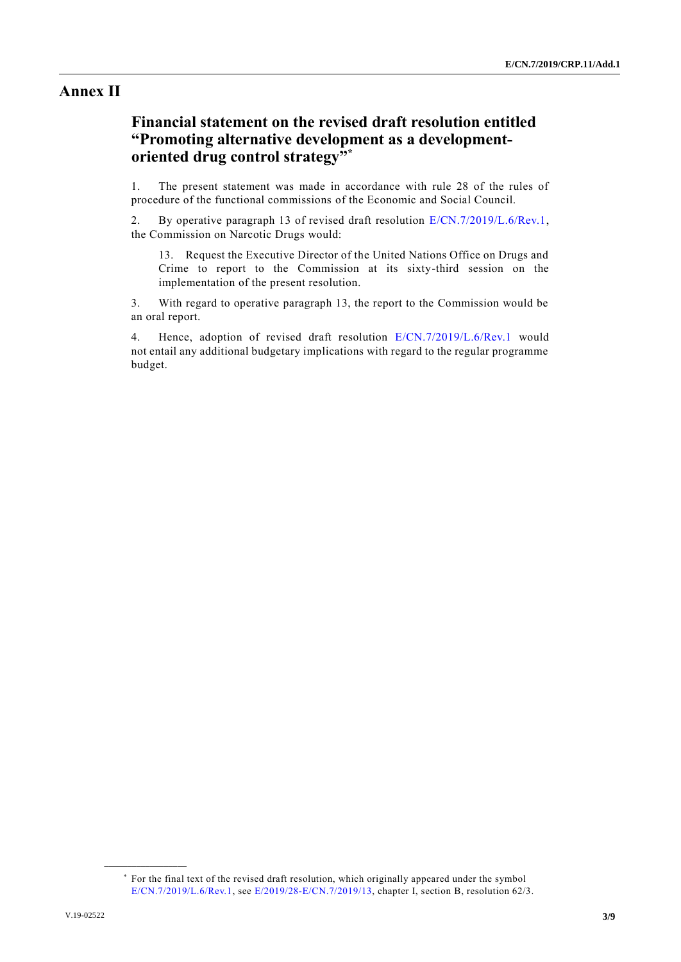### **Annex II**

## **Financial statement on the revised draft resolution entitled "Promoting alternative development as a developmentoriented drug control strategy" \***

1. The present statement was made in accordance with rule 28 of the rules of procedure of the functional commissions of the Economic and Social Council.

2. By operative paragraph 13 of revised draft resolution  $E/CN$ .7/2019/L.6/Rev.1, the Commission on Narcotic Drugs would:

13. Request the Executive Director of the United Nations Office on Drugs and Crime to report to the Commission at its sixty-third session on the implementation of the present resolution.

3. With regard to operative paragraph 13, the report to the Commission would be an oral report.

4. Hence, adoption of revised draft resolution [E/CN.7/2019/L.6/Rev.1](http://undocs.org/E/CN.7/2019/L.6/Rev.1) would not entail any additional budgetary implications with regard to the regular programme budget.

<sup>\*</sup> For the final text of the revised draft resolution, which originally appeared under the symbol E/CN.7/2019/L.6/Rev.1, see E/2019/28-E/CN.7/2019/13, chapter I, section B, resolution 62/3.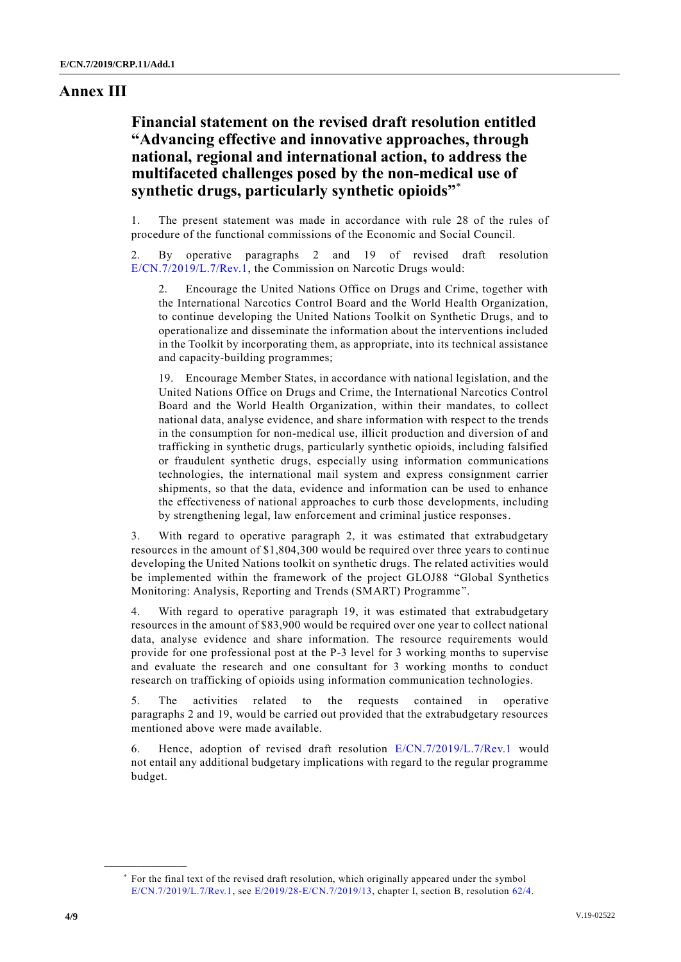#### **Annex III**

## **Financial statement on the revised draft resolution entitled "Advancing effective and innovative approaches, through national, regional and international action, to address the multifaceted challenges posed by the non-medical use of synthetic drugs, particularly synthetic opioids"** \*

1. The present statement was made in accordance with rule 28 of the rules of procedure of the functional commissions of the Economic and Social Council.

2. By operative paragraphs 2 and 19 of revised draft resolution [E/CN.7/2019/L.7/Rev.1,](http://undocs.org/E/CN.7/2019/L.7/Rev.1) the Commission on Narcotic Drugs would:

2. Encourage the United Nations Office on Drugs and Crime, together with the International Narcotics Control Board and the World Health Organization, to continue developing the United Nations Toolkit on Synthetic Drugs, and to operationalize and disseminate the information about the interventions included in the Toolkit by incorporating them, as appropriate, into its technical assistance and capacity-building programmes;

19. Encourage Member States, in accordance with national legislation, and the United Nations Office on Drugs and Crime, the International Narcotics Control Board and the World Health Organization, within their mandates, to collect national data, analyse evidence, and share information with respect to the trends in the consumption for non-medical use, illicit production and diversion of and trafficking in synthetic drugs, particularly synthetic opioids, including falsified or fraudulent synthetic drugs, especially using information communications technologies, the international mail system and express consignment carrier shipments, so that the data, evidence and information can be used to enhance the effectiveness of national approaches to curb those developments, including by strengthening legal, law enforcement and criminal justice responses.

3. With regard to operative paragraph 2, it was estimated that extrabudgetary resources in the amount of \$1,804,300 would be required over three years to conti nue developing the United Nations toolkit on synthetic drugs. The related activities would be implemented within the framework of the project GLOJ88 "Global Synthetics Monitoring: Analysis, Reporting and Trends (SMART) Programme".

4. With regard to operative paragraph 19, it was estimated that extrabudgetary resources in the amount of \$83,900 would be required over one year to collect national data, analyse evidence and share information. The resource requirements would provide for one professional post at the P-3 level for 3 working months to supervise and evaluate the research and one consultant for 3 working months to conduct research on trafficking of opioids using information communication technologies.

5. The activities related to the requests contained in operative paragraphs 2 and 19, would be carried out provided that the extrabudgetary resources mentioned above were made available.

6. Hence, adoption of revised draft resolution [E/CN.7/2019/L.7/Rev.1](http://undocs.org/E/CN.7/2019/L.7/Rev.1) would not entail any additional budgetary implications with regard to the regular programme budget.

<sup>\*</sup> For the final text of the revised draft resolution, which originally appeared under the symbol E/CN.7/2019/L.7/Rev.1, see E/2019/28-E/CN.7/2019/13, chapter I, section B, resolution [62/4.](http://undocs.org/A/RES/62/4)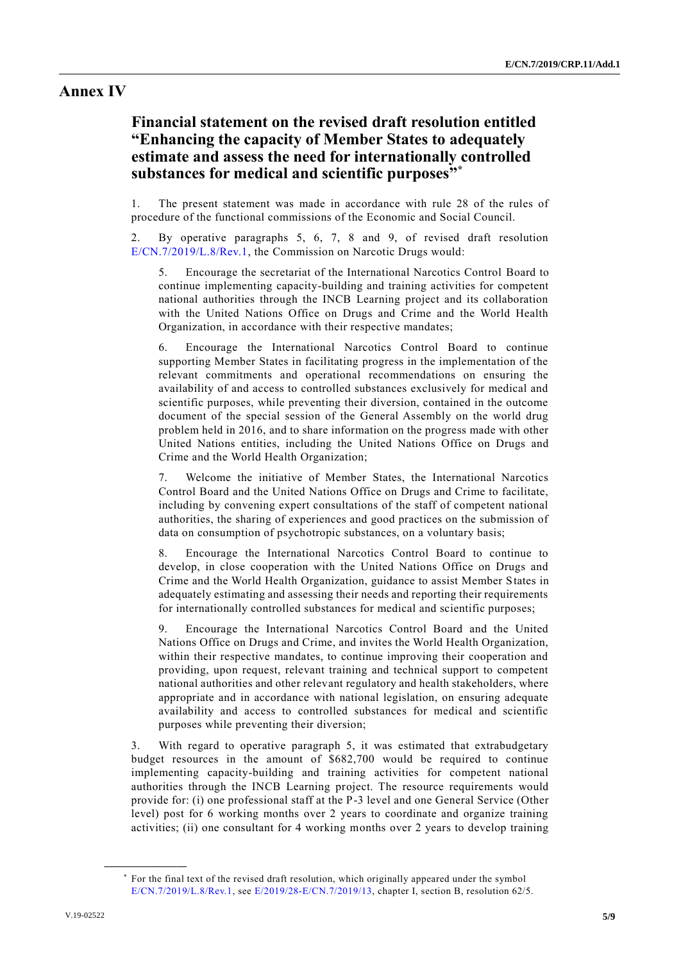### **Annex IV**

## **Financial statement on the revised draft resolution entitled "Enhancing the capacity of Member States to adequately estimate and assess the need for internationally controlled substances for medical and scientific purposes" \***

1. The present statement was made in accordance with rule 28 of the rules of procedure of the functional commissions of the Economic and Social Council.

2. By operative paragraphs 5, 6, 7, 8 and 9, of revised draft resolution [E/CN.7/2019/L.8/Rev.1,](http://undocs.org/E/CN.7/2019/L.8/Rev.1) the Commission on Narcotic Drugs would:

5. Encourage the secretariat of the International Narcotics Control Board to continue implementing capacity-building and training activities for competent national authorities through the INCB Learning project and its collaboration with the United Nations Office on Drugs and Crime and the World Health Organization, in accordance with their respective mandates;

6. Encourage the International Narcotics Control Board to continue supporting Member States in facilitating progress in the implementation of the relevant commitments and operational recommendations on ensuring the availability of and access to controlled substances exclusively for medical and scientific purposes, while preventing their diversion, contained in the outcome document of the special session of the General Assembly on the world drug problem held in 2016, and to share information on the progress made with other United Nations entities, including the United Nations Office on Drugs and Crime and the World Health Organization;

7. Welcome the initiative of Member States, the International Narcotics Control Board and the United Nations Office on Drugs and Crime to facilitate, including by convening expert consultations of the staff of competent national authorities, the sharing of experiences and good practices on the submission of data on consumption of psychotropic substances, on a voluntary basis;

8. Encourage the International Narcotics Control Board to continue to develop, in close cooperation with the United Nations Office on Drugs and Crime and the World Health Organization, guidance to assist Member States in adequately estimating and assessing their needs and reporting their requirements for internationally controlled substances for medical and scientific purposes;

9. Encourage the International Narcotics Control Board and the United Nations Office on Drugs and Crime, and invites the World Health Organization, within their respective mandates, to continue improving their cooperation and providing, upon request, relevant training and technical support to competent national authorities and other relevant regulatory and health stakeholders, where appropriate and in accordance with national legislation, on ensuring adequate availability and access to controlled substances for medical and scientific purposes while preventing their diversion;

3. With regard to operative paragraph 5, it was estimated that extrabudgetary budget resources in the amount of \$682,700 would be required to continue implementing capacity-building and training activities for competent national authorities through the INCB Learning project. The resource requirements would provide for: (i) one professional staff at the P-3 level and one General Service (Other level) post for 6 working months over 2 years to coordinate and organize training activities; (ii) one consultant for 4 working months over 2 years to develop training

<sup>\*</sup> For the final text of the revised draft resolution, which originally appeared under the symbol [E/CN.7/2019/L.8/Rev.1,](http://undocs.org/E/CN.7/2018/L.9/Rev.1) see E/2019/28-E/CN.7/2019/13, chapter I, section B, resolution 62/5.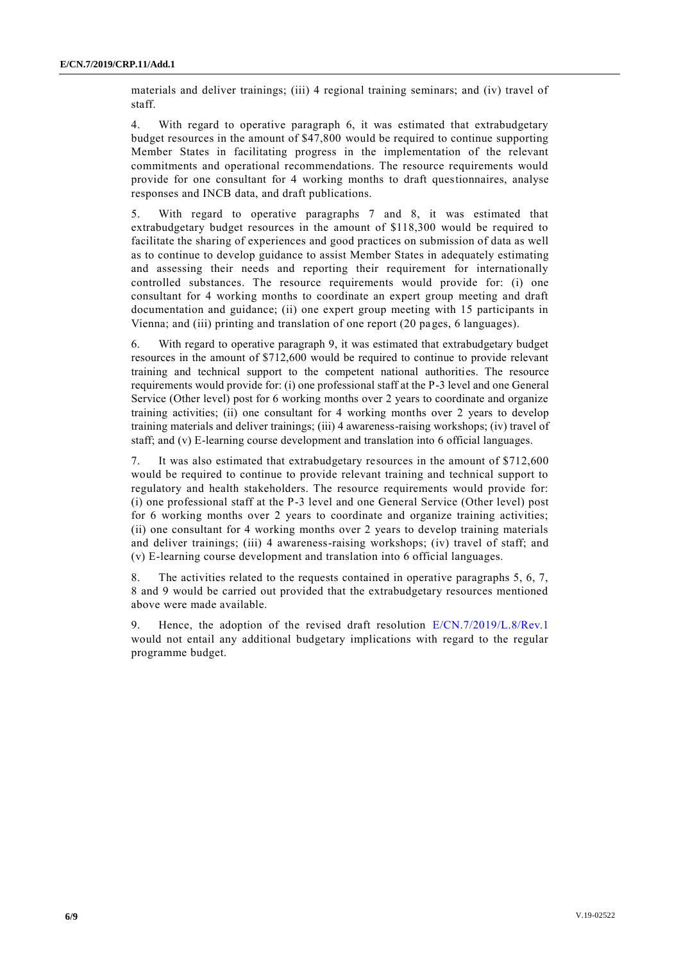materials and deliver trainings; (iii) 4 regional training seminars; and (iv) travel of staff.

4. With regard to operative paragraph 6, it was estimated that extrabudgetary budget resources in the amount of \$47,800 would be required to continue supporting Member States in facilitating progress in the implementation of the relevant commitments and operational recommendations. The resource requirements would provide for one consultant for 4 working months to draft questionnaires, analyse responses and INCB data, and draft publications.

5. With regard to operative paragraphs 7 and 8, it was estimated that extrabudgetary budget resources in the amount of \$118,300 would be required to facilitate the sharing of experiences and good practices on submission of data as well as to continue to develop guidance to assist Member States in adequately estimating and assessing their needs and reporting their requirement for internationally controlled substances. The resource requirements would provide for: (i) one consultant for 4 working months to coordinate an expert group meeting and draft documentation and guidance; (ii) one expert group meeting with 15 participants in Vienna; and (iii) printing and translation of one report (20 pages, 6 languages).

6. With regard to operative paragraph 9, it was estimated that extrabudgetary budget resources in the amount of \$712,600 would be required to continue to provide relevant training and technical support to the competent national authorities. The resource requirements would provide for: (i) one professional staff at the P-3 level and one General Service (Other level) post for 6 working months over 2 years to coordinate and organize training activities; (ii) one consultant for 4 working months over 2 years to develop training materials and deliver trainings; (iii) 4 awareness-raising workshops; (iv) travel of staff; and (v) E-learning course development and translation into 6 official languages.

7. It was also estimated that extrabudgetary resources in the amount of \$712,600 would be required to continue to provide relevant training and technical support to regulatory and health stakeholders. The resource requirements would provide for: (i) one professional staff at the P-3 level and one General Service (Other level) post for 6 working months over 2 years to coordinate and organize training activities; (ii) one consultant for 4 working months over 2 years to develop training materials and deliver trainings; (iii) 4 awareness-raising workshops; (iv) travel of staff; and (v) E-learning course development and translation into 6 official languages.

8. The activities related to the requests contained in operative paragraphs 5, 6, 7, 8 and 9 would be carried out provided that the extrabudgetary resources mentioned above were made available.

9. Hence, the adoption of the revised draft resolution [E/CN.7/2019/L.8/Rev.1](http://undocs.org/E/CN.7/2019/L.8/Rev.1) would not entail any additional budgetary implications with regard to the regular programme budget.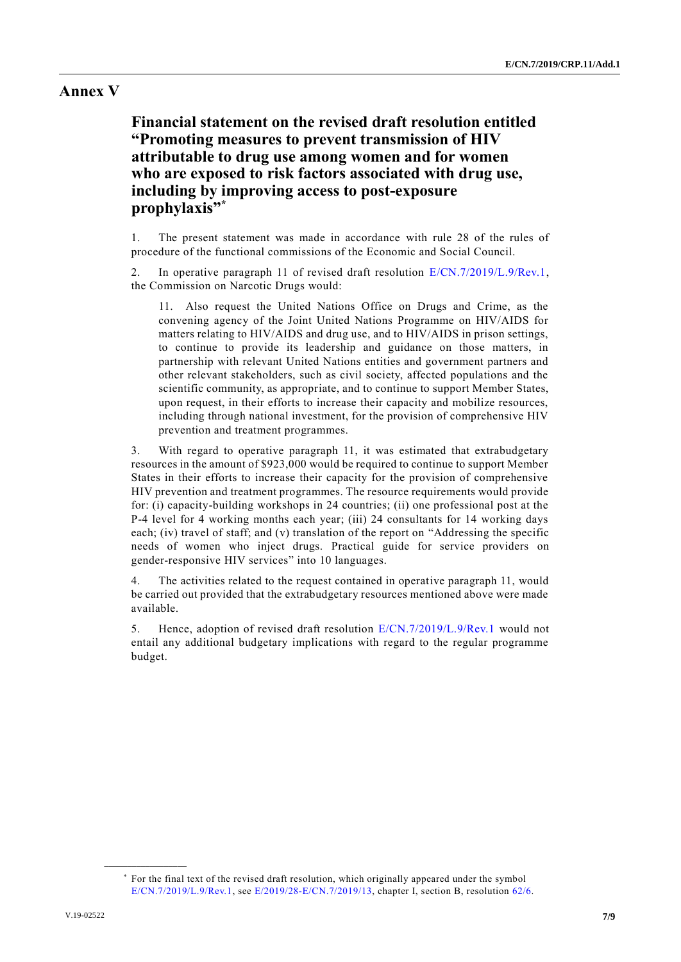### **Annex V**

**Financial statement on the revised draft resolution entitled "Promoting measures to prevent transmission of HIV attributable to drug use among women and for women who are exposed to risk factors associated with drug use, including by improving access to post-exposure prophylaxis" \***

1. The present statement was made in accordance with rule 28 of the rules of procedure of the functional commissions of the Economic and Social Council.

2. In operative paragraph 11 of revised draft resolution [E/CN.7/2019/L.9/Rev.1,](http://undocs.org/E/CN.7/2019/L.9/Rev.1) the Commission on Narcotic Drugs would:

11. Also request the United Nations Office on Drugs and Crime, as the convening agency of the Joint United Nations Programme on HIV/AIDS for matters relating to HIV/AIDS and drug use, and to HIV/AIDS in prison settings, to continue to provide its leadership and guidance on those matters, in partnership with relevant United Nations entities and government partners and other relevant stakeholders, such as civil society, affected populations and the scientific community, as appropriate, and to continue to support Member States, upon request, in their efforts to increase their capacity and mobilize resources, including through national investment, for the provision of comprehensive HIV prevention and treatment programmes.

3. With regard to operative paragraph 11, it was estimated that extrabudgetary resources in the amount of \$923,000 would be required to continue to support Member States in their efforts to increase their capacity for the provision of comprehensive HIV prevention and treatment programmes. The resource requirements would provide for: (i) capacity-building workshops in 24 countries; (ii) one professional post at the P-4 level for 4 working months each year; (iii) 24 consultants for 14 working days each; (iv) travel of staff; and (v) translation of the report on "Addressing the specific needs of women who inject drugs. Practical guide for service providers on gender-responsive HIV services" into 10 languages.

The activities related to the request contained in operative paragraph 11, would be carried out provided that the extrabudgetary resources mentioned above were made available.

5. Hence, adoption of revised draft resolution [E/CN.7/2019/L.9/Rev.1](http://undocs.org/E/CN.7/2019/L.9/Rev.1) would not entail any additional budgetary implications with regard to the regular programme budget.

<sup>\*</sup> For the final text of the revised draft resolution, which originally appeared under the symbol E/CN.7/2019/L.9/Rev.1, see E/2019/28-E/CN.7/2019/13, chapter I, section B, resolution [62/6.](http://undocs.org/A/RES/62/6)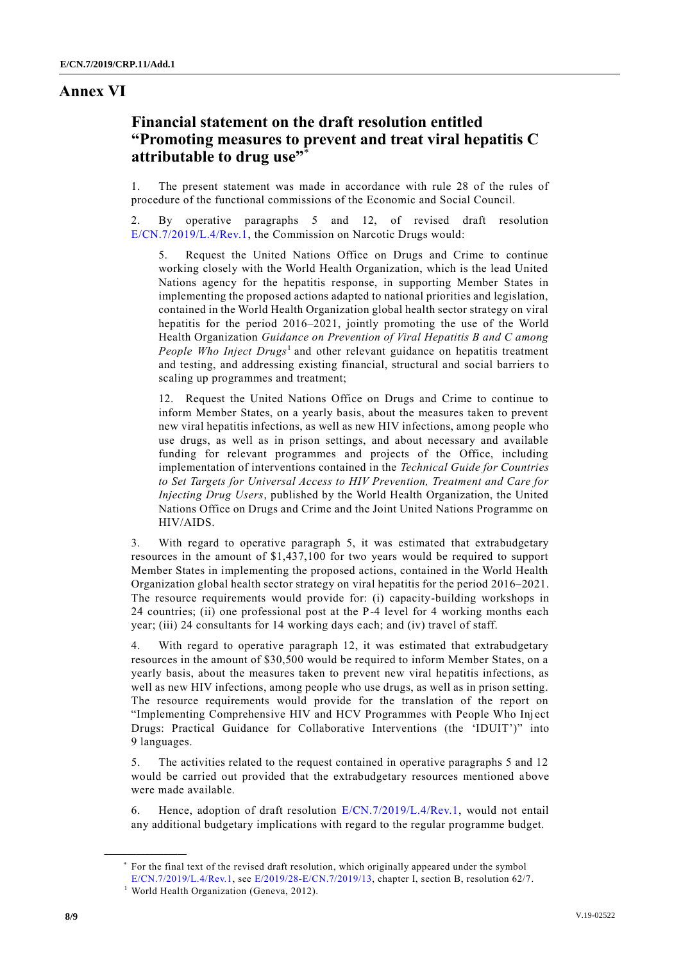#### **Annex VI**

## **Financial statement on the draft resolution entitled "Promoting measures to prevent and treat viral hepatitis C attributable to drug use"** \*

1. The present statement was made in accordance with rule 28 of the rules of procedure of the functional commissions of the Economic and Social Council.

2. By operative paragraphs 5 and 12, of revised draft resolution [E/CN.7/2019/L.4/Rev.1,](http://undocs.org/E/CN.7/2019/L.4/Rev.1) the Commission on Narcotic Drugs would:

5. Request the United Nations Office on Drugs and Crime to continue working closely with the World Health Organization, which is the lead United Nations agency for the hepatitis response, in supporting Member States in implementing the proposed actions adapted to national priorities and legislation, contained in the World Health Organization global health sector strategy on viral hepatitis for the period 2016–2021, jointly promoting the use of the World Health Organization *Guidance on Prevention of Viral Hepatitis B and C among*  People Who Inject Drugs<sup>1</sup> and other relevant guidance on hepatitis treatment and testing, and addressing existing financial, structural and social barriers to scaling up programmes and treatment;

12. Request the United Nations Office on Drugs and Crime to continue to inform Member States, on a yearly basis, about the measures taken to prevent new viral hepatitis infections, as well as new HIV infections, among people who use drugs, as well as in prison settings, and about necessary and available funding for relevant programmes and projects of the Office, including implementation of interventions contained in the *Technical Guide for Countries to Set Targets for Universal Access to HIV Prevention, Treatment and Care for Injecting Drug Users*, published by the World Health Organization, the United Nations Office on Drugs and Crime and the Joint United Nations Programme on HIV/AIDS.

3. With regard to operative paragraph 5, it was estimated that extrabudgetary resources in the amount of \$1,437,100 for two years would be required to support Member States in implementing the proposed actions, contained in the World Health Organization global health sector strategy on viral hepatitis for the period 2016–2021. The resource requirements would provide for: (i) capacity-building workshops in 24 countries; (ii) one professional post at the P-4 level for 4 working months each year; (iii) 24 consultants for 14 working days each; and (iv) travel of staff.

4. With regard to operative paragraph 12, it was estimated that extrabudgetary resources in the amount of \$30,500 would be required to inform Member States, on a yearly basis, about the measures taken to prevent new viral hepatitis infections, as well as new HIV infections, among people who use drugs, as well as in prison setting. The resource requirements would provide for the translation of the report on "Implementing Comprehensive HIV and HCV Programmes with People Who Inj ect Drugs: Practical Guidance for Collaborative Interventions (the 'IDUIT')" into 9 languages.

5. The activities related to the request contained in operative paragraphs 5 and 12 would be carried out provided that the extrabudgetary resources mentioned above were made available.

6. Hence, adoption of draft resolution [E/CN.7/2019/L.4/Rev.1,](http://undocs.org/E/CN.7/2019/L.4/Rev.1) would not entail any additional budgetary implications with regard to the regular programme budget.

<sup>\*</sup> For the final text of the revised draft resolution, which originally appeared under the symbol

E/CN.7/2019/L.4/Rev.1, see E/2019/28-E/CN.7/2019/13, chapter I, section B, resolution 62/7. <sup>1</sup> World Health Organization (Geneva, 2012).